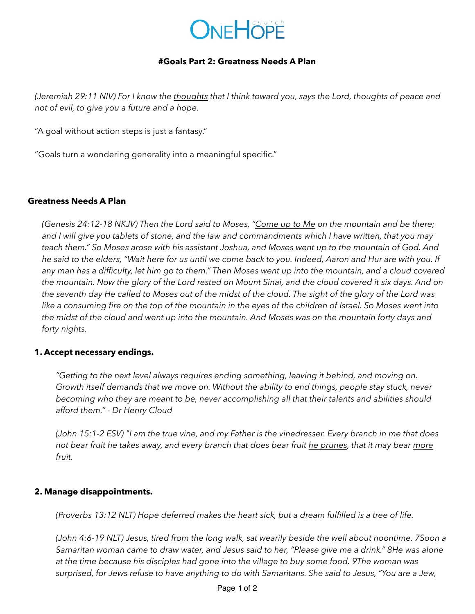

### **#Goals Part 2: Greatness Needs A Plan**

*(Jeremiah 29:11 NIV) For I know the thoughts that I think toward you, says the Lord, thoughts of peace and not of evil, to give you a future and a hope.*

"A goal without action steps is just a fantasy."

"Goals turn a wondering generality into a meaningful specific."

### **Greatness Needs A Plan**

*(Genesis 24:12-18 NKJV) Then the Lord said to Moses, "Come up to Me on the mountain and be there; and I will give you tablets of stone, and the law and commandments which I have written, that you may teach them." So Moses arose with his assistant Joshua, and Moses went up to the mountain of God. And he said to the elders, "Wait here for us until we come back to you. Indeed, Aaron and Hur are with you. If any man has a difficulty, let him go to them." Then Moses went up into the mountain, and a cloud covered the mountain. Now the glory of the Lord rested on Mount Sinai, and the cloud covered it six days. And on the seventh day He called to Moses out of the midst of the cloud. The sight of the glory of the Lord was like a consuming fire on the top of the mountain in the eyes of the children of Israel. So Moses went into the midst of the cloud and went up into the mountain. And Moses was on the mountain forty days and forty nights.*

### **1. Accept necessary endings.**

*"Getting to the next level always requires ending something, leaving it behind, and moving on. Growth itself demands that we move on. Without the ability to end things, people stay stuck, never becoming who they are meant to be, never accomplishing all that their talents and abilities should afford them." - Dr Henry Cloud* 

*(John 15:1-2 ESV) "I am the true vine, and my Father is the vinedresser. Every branch in me that does not bear fruit he takes away, and every branch that does bear fruit he prunes, that it may bear more fruit.*

### **2. Manage disappointments.**

*(Proverbs 13:12 NLT) Hope deferred makes the heart sick, but a dream fulfilled is a tree of life.*

*(John 4:6-19 NLT) Jesus, tired from the long walk, sat wearily beside the well about noontime. 7Soon a Samaritan woman came to draw water, and Jesus said to her, "Please give me a drink." 8He was alone at the time because his disciples had gone into the village to buy some food. 9The woman was surprised, for Jews refuse to have anything to do with Samaritans. She said to Jesus, "You are a Jew,*